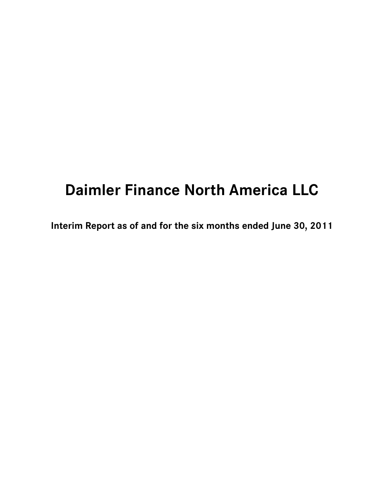# **Daimler Finance North America LLC**

**Interim Report as of and for the six months ended June 30, 2011**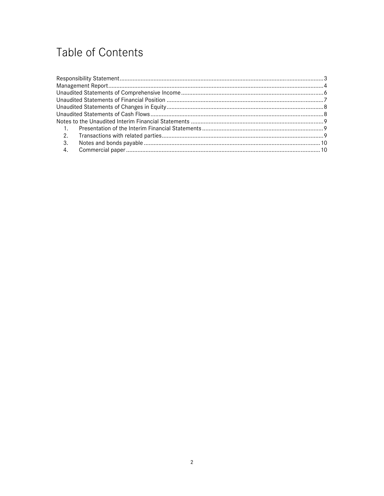# Table of Contents

| $\sim$ 1. |  |
|-----------|--|
|           |  |
| 3.        |  |
|           |  |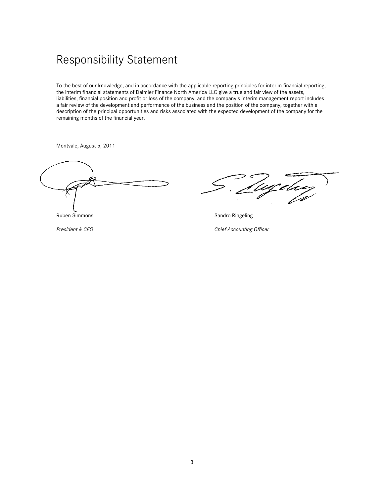## Responsibility Statement

To the best of our knowledge, and in accordance with the applicable reporting principles for interim financial reporting, the interim financial statements of Daimler Finance North America LLC give a true and fair view of the assets, liabilities, financial position and profit or loss of the company, and the company's interim management report includes a fair review of the development and performance of the business and the position of the company, together with a description of the principal opportunities and risks associated with the expected development of the company for the remaining months of the financial year.

Montvale, August 5, 2011

ageley

Ruben Simmons **Sandro Ringeling** Sandro Ringeling

**President & CEO** Chief Accounting Officer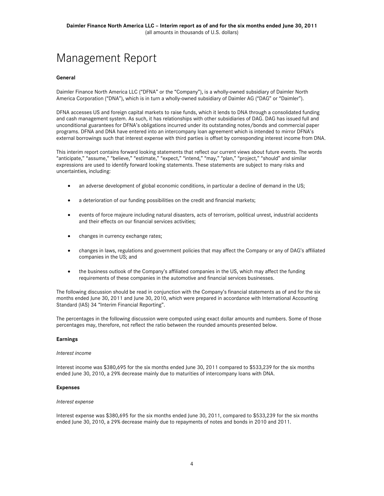# Management Report

### **General**

Daimler Finance North America LLC ("DFNA" or the "Company"), is a wholly-owned subsidiary of Daimler North America Corporation ("DNA"), which is in turn a wholly-owned subsidiary of Daimler AG ("DAG" or "Daimler").

DFNA accesses US and foreign capital markets to raise funds, which it lends to DNA through a consolidated funding and cash management system. As such, it has relationships with other subsidiaries of DAG. DAG has issued full and unconditional guarantees for DFNA's obligations incurred under its outstanding notes/bonds and commercial paper programs. DFNA and DNA have entered into an intercompany loan agreement which is intended to mirror DFNA's external borrowings such that interest expense with third parties is offset by corresponding interest income from DNA.

This interim report contains forward looking statements that reflect our current views about future events. The words "anticipate," "assume," "believe," "estimate," "expect," "intend," "may," "plan," "project," "should" and similar expressions are used to identify forward looking statements. These statements are subject to many risks and uncertainties, including:

- an adverse development of global economic conditions, in particular a decline of demand in the US;
- a deterioration of our funding possibilities on the credit and financial markets;
- events of force majeure including natural disasters, acts of terrorism, political unrest, industrial accidents and their effects on our financial services activities;
- changes in currency exchange rates;
- changes in laws, regulations and government policies that may affect the Company or any of DAG's affiliated companies in the US; and
- the business outlook of the Company's affiliated companies in the US, which may affect the funding requirements of these companies in the automotive and financial services businesses.

The following discussion should be read in conjunction with the Company's financial statements as of and for the six months ended June 30, 2011 and June 30, 2010, which were prepared in accordance with International Accounting Standard (IAS) 34 "Interim Financial Reporting".

The percentages in the following discussion were computed using exact dollar amounts and numbers. Some of those percentages may, therefore, not reflect the ratio between the rounded amounts presented below.

### **Earnings**

#### *Interest income*

Interest income was \$380,695 for the six months ended June 30, 2011 compared to \$533,239 for the six months ended June 30, 2010, a 29% decrease mainly due to maturities of intercompany loans with DNA.

#### **Expenses**

#### *Interest expense*

Interest expense was \$380,695 for the six months ended June 30, 2011, compared to \$533,239 for the six months ended June 30, 2010, a 29% decrease mainly due to repayments of notes and bonds in 2010 and 2011.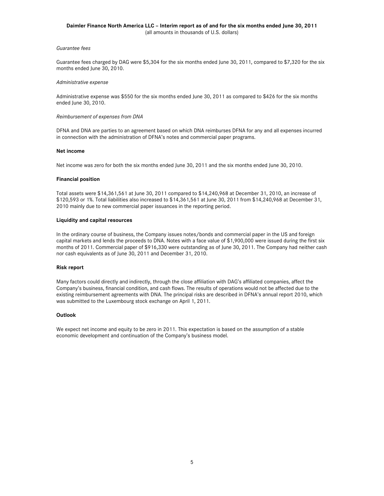### **Daimler Finance North America LLC – Interim report as of and for the six months ended June 30, 2011**  (all amounts in thousands of U.S. dollars)

#### *Guarantee fees*

Guarantee fees charged by DAG were \$5,304 for the six months ended June 30, 2011, compared to \$7,320 for the six months ended June 30, 2010.

#### *Administrative expense*

Administrative expense was \$550 for the six months ended June 30, 2011 as compared to \$426 for the six months ended June 30, 2010.

#### *Reimbursement of expenses from DNA*

DFNA and DNA are parties to an agreement based on which DNA reimburses DFNA for any and all expenses incurred in connection with the administration of DFNA's notes and commercial paper programs.

#### **Net income**

Net income was zero for both the six months ended June 30, 2011 and the six months ended June 30, 2010.

#### **Financial position**

Total assets were \$14,361,561 at June 30, 2011 compared to \$14,240,968 at December 31, 2010, an increase of \$120,593 or 1%. Total liabilities also increased to \$14,361,561 at June 30, 2011 from \$14,240,968 at December 31, 2010 mainly due to new commercial paper issuances in the reporting period.

### **Liquidity and capital resources**

In the ordinary course of business, the Company issues notes/bonds and commercial paper in the US and foreign capital markets and lends the proceeds to DNA. Notes with a face value of \$1,900,000 were issued during the first six months of 2011. Commercial paper of \$916,330 were outstanding as of June 30, 2011. The Company had neither cash nor cash equivalents as of June 30, 2011 and December 31, 2010.

### **Risk report**

Many factors could directly and indirectly, through the close affiliation with DAG's affiliated companies, affect the Company's business, financial condition, and cash flows. The results of operations would not be affected due to the existing reimbursement agreements with DNA. The principal risks are described in DFNA's annual report 2010, which was submitted to the Luxembourg stock exchange on April 1, 2011.

#### **Outlook**

We expect net income and equity to be zero in 2011. This expectation is based on the assumption of a stable economic development and continuation of the Company's business model.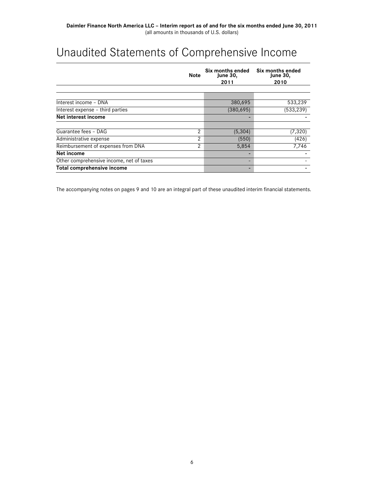# Unaudited Statements of Comprehensive Income

|                                          | <b>Note</b> | Six months ended<br><b>June 30,</b><br>2011 | Six months ended<br><b>June 30,</b><br>2010 |  |
|------------------------------------------|-------------|---------------------------------------------|---------------------------------------------|--|
|                                          |             |                                             |                                             |  |
| Interest income - DNA                    |             | 380,695                                     | 533,239                                     |  |
| Interest expense - third parties         |             | (380, 695)                                  | (533, 239)                                  |  |
| Net interest income                      |             |                                             |                                             |  |
|                                          |             |                                             |                                             |  |
| Guarantee fees - DAG                     | 2           | (5,304)                                     | (7, 320)                                    |  |
| Administrative expense                   | 2           | (550)                                       | (426)                                       |  |
| Reimbursement of expenses from DNA       | 2           | 5,854                                       | 7,746                                       |  |
| Net income                               |             |                                             |                                             |  |
| Other comprehensive income, net of taxes |             |                                             |                                             |  |
| Total comprehensive income               |             |                                             |                                             |  |

The accompanying notes on pages 9 and 10 are an integral part of these unaudited interim financial statements.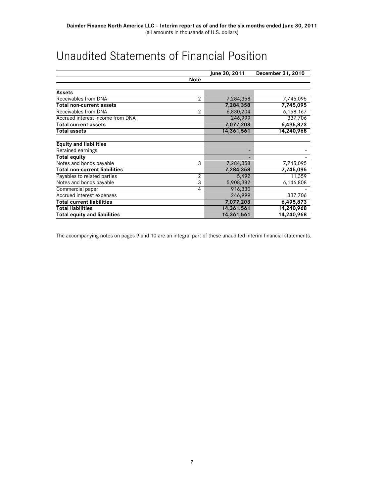# Unaudited Statements of Financial Position

|                                      |              | June 30, 2011 | December 31, 2010 |
|--------------------------------------|--------------|---------------|-------------------|
|                                      | <b>Note</b>  |               |                   |
|                                      |              |               |                   |
| <b>Assets</b>                        |              |               |                   |
| Receivables from DNA                 | $\mathbf{2}$ | 7,284,358     | 7,745,095         |
| Total non-current assets             |              | 7,284,358     | 7,745,095         |
| Receivables from DNA                 | 2            | 6,830,204     | 6,158,167         |
| Accrued interest income from DNA     |              | 246,999       | 337,706           |
| <b>Total current assets</b>          |              | 7,077,203     | 6,495,873         |
| Total assets                         |              | 14,361,561    | 14,240,968        |
| <b>Equity and liabilities</b>        |              |               |                   |
| Retained earnings                    |              |               |                   |
| <b>Total equity</b>                  |              |               |                   |
| Notes and bonds payable              | 3            | 7,284,358     | 7,745,095         |
| <b>Total non-current liabilities</b> |              | 7,284,358     | 7,745,095         |
| Payables to related parties          | 2            | 5,492         | 11,359            |
| Notes and bonds payable              | 3            | 5,908,382     | 6,146,808         |
| Commercial paper                     | 4            | 916,330       |                   |
| Accrued interest expenses            |              | 246,999       | 337,706           |
| Total current liabilities            |              | 7,077,203     | 6,495,873         |
| <b>Total liabilities</b>             |              | 14,361,561    | 14,240,968        |
| <b>Total equity and liabilities</b>  |              | 14,361,561    | 14,240,968        |

The accompanying notes on pages 9 and 10 are an integral part of these unaudited interim financial statements.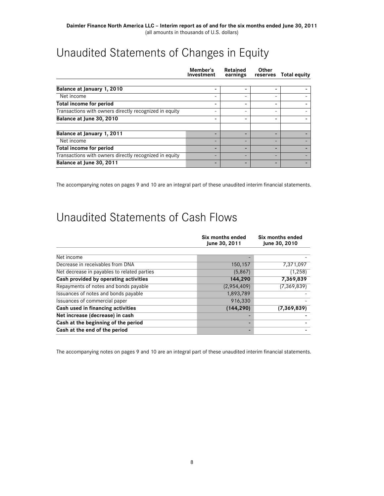# Unaudited Statements of Changes in Equity

|                                                        | Member's<br>Investment | Retained<br>earnings | Other<br>reserves | <b>Total equity</b> |
|--------------------------------------------------------|------------------------|----------------------|-------------------|---------------------|
|                                                        |                        |                      |                   |                     |
| Balance at January 1, 2010                             | ۰                      | -                    |                   |                     |
| Net income                                             | -                      | -                    |                   |                     |
| <b>Total income for period</b>                         |                        |                      |                   |                     |
| Transactions with owners directly recognized in equity | -                      | -                    | -                 |                     |
| Balance at June 30, 2010                               |                        |                      |                   |                     |
| Balance at January 1, 2011                             |                        | -                    |                   |                     |
| Net income                                             |                        | -                    |                   |                     |
| <b>Total income for period</b>                         |                        | -                    |                   |                     |
| Transactions with owners directly recognized in equity | -                      | -                    |                   |                     |
| Balance at June 30, 2011                               |                        |                      |                   |                     |

The accompanying notes on pages 9 and 10 are an integral part of these unaudited interim financial statements.

# Unaudited Statements of Cash Flows

|                                             | Six months ended<br>June 30, 2011 | Six months ended<br>June 30, 2010 |  |
|---------------------------------------------|-----------------------------------|-----------------------------------|--|
|                                             |                                   |                                   |  |
| Net income                                  |                                   |                                   |  |
| Decrease in receivables from DNA            | 150,157                           | 7,371,097                         |  |
| Net decrease in payables to related parties | (5,867)                           | (1, 258)                          |  |
| Cash provided by operating activities       | 144,290                           | 7,369,839                         |  |
| Repayments of notes and bonds payable       | (2,954,409)                       | (7, 369, 839)                     |  |
| Issuances of notes and bonds payable        | 1,893,789                         |                                   |  |
| Issuances of commercial paper               | 916,330                           |                                   |  |
| Cash used in financing activities           | (144, 290)                        | (7, 369, 839)                     |  |
| Net increase (decrease) in cash             |                                   |                                   |  |
| Cash at the beginning of the period         |                                   |                                   |  |
| Cash at the end of the period               |                                   |                                   |  |

The accompanying notes on pages 9 and 10 are an integral part of these unaudited interim financial statements.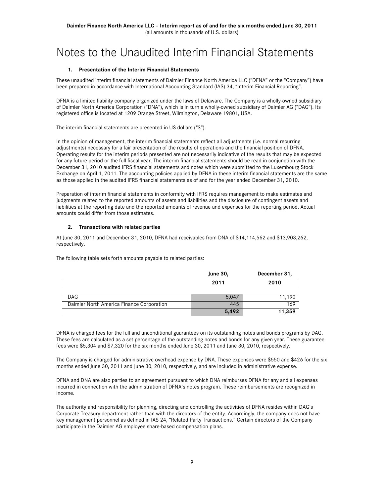# Notes to the Unaudited Interim Financial Statements

### **1. Presentation of the Interim Financial Statements**

These unaudited interim financial statements of Daimler Finance North America LLC ("DFNA" or the "Company") have been prepared in accordance with International Accounting Standard (IAS) 34, "Interim Financial Reporting".

DFNA is a limited liability company organized under the laws of Delaware. The Company is a wholly-owned subsidiary of Daimler North America Corporation ("DNA"), which is in turn a wholly-owned subsidiary of Daimler AG ("DAG"). Its registered office is located at 1209 Orange Street, Wilmington, Delaware 19801, USA.

The interim financial statements are presented in US dollars ("\$").

In the opinion of management, the interim financial statements reflect all adjustments (i.e. normal recurring adjustments) necessary for a fair presentation of the results of operations and the financial position of DFNA. Operating results for the interim periods presented are not necessarily indicative of the results that may be expected for any future period or the full fiscal year. The interim financial statements should be read in conjunction with the December 31, 2010 audited IFRS financial statements and notes which were submitted to the Luxembourg Stock Exchange on April 1, 2011. The accounting policies applied by DFNA in these interim financial statements are the same as those applied in the audited IFRS financial statements as of and for the year ended December 31, 2010.

Preparation of interim financial statements in conformity with IFRS requires management to make estimates and judgments related to the reported amounts of assets and liabilities and the disclosure of contingent assets and liabilities at the reporting date and the reported amounts of revenue and expenses for the reporting period. Actual amounts could differ from those estimates.

### **2. Transactions with related parties**

At June 30, 2011 and December 31, 2010, DFNA had receivables from DNA of \$14,114,562 and \$13,903,262, respectively.

The following table sets forth amounts payable to related parties:

|                                           | <b>June 30,</b> | December 31, |  |
|-------------------------------------------|-----------------|--------------|--|
|                                           | 2011            | 2010         |  |
|                                           |                 |              |  |
| DAG.                                      | 5.047           | 11,190       |  |
| Daimler North America Finance Corporation | 445             | 169          |  |
|                                           | 5,492           | 11,359       |  |

DFNA is charged fees for the full and unconditional guarantees on its outstanding notes and bonds programs by DAG. These fees are calculated as a set percentage of the outstanding notes and bonds for any given year. These guarantee fees were \$5,304 and \$7,320 for the six months ended June 30, 2011 and June 30, 2010, respectively.

The Company is charged for administrative overhead expense by DNA. These expenses were \$550 and \$426 for the six months ended June 30, 2011 and June 30, 2010, respectively, and are included in administrative expense.

DFNA and DNA are also parties to an agreement pursuant to which DNA reimburses DFNA for any and all expenses incurred in connection with the administration of DFNA's notes program. These reimbursements are recognized in income.

The authority and responsibility for planning, directing and controlling the activities of DFNA resides within DAG's Corporate Treasury department rather than with the directors of the entity. Accordingly, the company does not have key management personnel as defined in IAS 24, "Related Party Transactions." Certain directors of the Company participate in the Daimler AG employee share-based compensation plans.